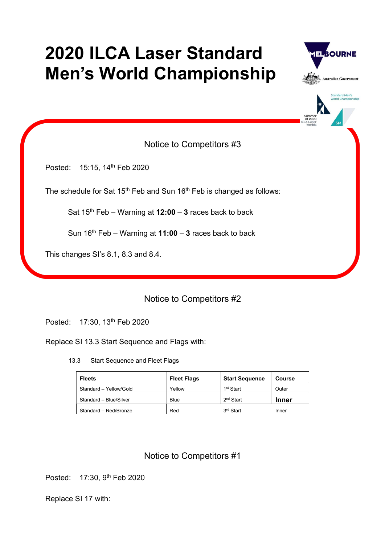# 2020 ILCA Laser Standard Men's World Championship





Notice to Competitors #3

Posted: 15:15, 14<sup>th</sup> Feb 2020

The schedule for Sat 15<sup>th</sup> Feb and Sun 16<sup>th</sup> Feb is changed as follows:

Sat  $15^{th}$  Feb – Warning at  $12:00 - 3$  races back to back

Sun  $16<sup>th</sup>$  Feb – Warning at 11:00 – 3 races back to back

This changes SI's 8.1, 8.3 and 8.4.

### Notice to Competitors #2

Posted: 17:30, 13th Feb 2020

Replace SI 13.3 Start Sequence and Flags with:

13.3 Start Sequence and Fleet Flags

| <b>Fleets</b>          | <b>Fleet Flags</b> | <b>Start Sequence</b> | Course       |
|------------------------|--------------------|-----------------------|--------------|
| Standard - Yellow/Gold | Yellow             | 1 <sup>st</sup> Start | Outer        |
| Standard - Blue/Silver | Blue               | 2 <sup>nd</sup> Start | <b>Inner</b> |
| Standard - Red/Bronze  | Red                | 3 <sup>rd</sup> Start | Inner        |

## Notice to Competitors #1

Posted: 17:30, 9<sup>th</sup> Feb 2020

Replace SI 17 with: